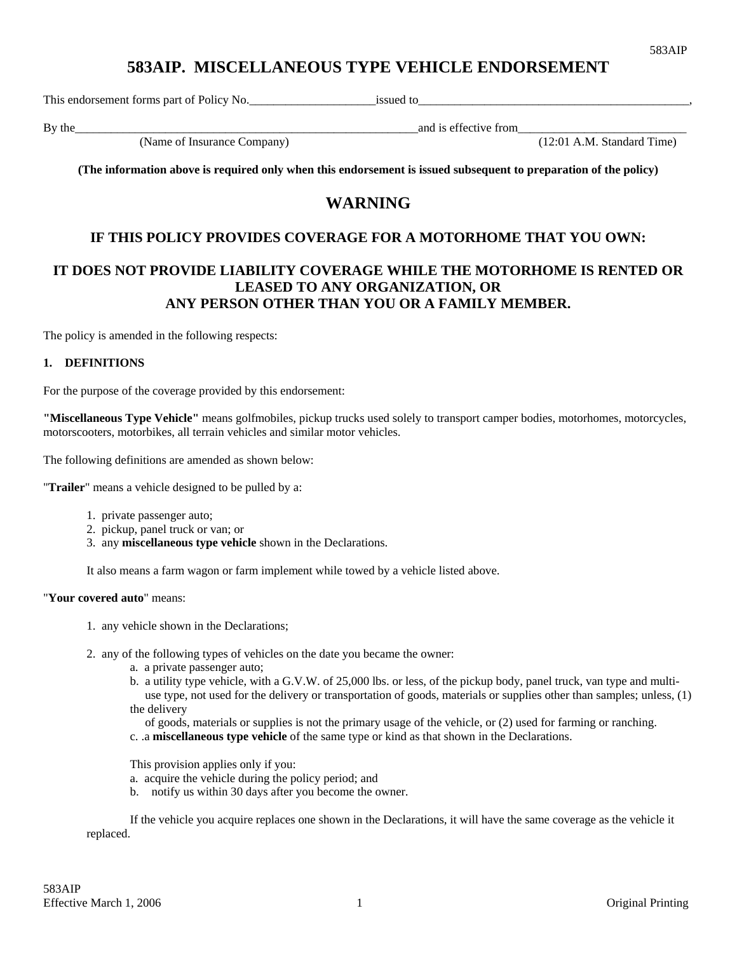# **583AIP. MISCELLANEOUS TYPE VEHICLE ENDORSEMENT**

This endorsement forms part of Policy No.\_\_\_\_\_\_\_\_\_\_\_\_\_\_\_\_\_\_\_\_\_issued to\_\_\_\_\_\_\_\_\_\_\_\_\_\_\_\_\_\_\_\_\_\_\_\_\_\_\_\_\_\_\_\_\_\_\_\_\_\_\_\_\_\_\_\_\_,

By the\_\_\_\_\_\_\_\_\_\_\_\_\_\_\_\_\_\_\_\_\_\_\_\_\_\_\_\_\_\_\_\_\_\_\_\_\_\_\_\_\_\_\_\_\_\_\_\_\_\_\_\_\_\_\_\_\_and is effective from\_\_\_\_\_\_\_\_\_\_\_\_\_\_\_\_\_\_\_\_\_\_\_\_\_\_\_\_

 $(12:01$  A.M. Standard Time)

**(The information above is required only when this endorsement is issued subsequent to preparation of the policy)** 

# **WARNING**

## **IF THIS POLICY PROVIDES COVERAGE FOR A MOTORHOME THAT YOU OWN:**

## **IT DOES NOT PROVIDE LIABILITY COVERAGE WHILE THE MOTORHOME IS RENTED OR LEASED TO ANY ORGANIZATION, OR ANY PERSON OTHER THAN YOU OR A FAMILY MEMBER.**

The policy is amended in the following respects:

### **1. DEFINITIONS**

For the purpose of the coverage provided by this endorsement:

**"Miscellaneous Type Vehicle"** means golfmobiles, pickup trucks used solely to transport camper bodies, motorhomes, motorcycles, motorscooters, motorbikes, all terrain vehicles and similar motor vehicles.

The following definitions are amended as shown below:

"**Trailer**" means a vehicle designed to be pulled by a:

- 1. private passenger auto;
- 2. pickup, panel truck or van; or
- 3. any **miscellaneous type vehicle** shown in the Declarations.

It also means a farm wagon or farm implement while towed by a vehicle listed above.

#### "**Your covered auto**" means:

- 1. any vehicle shown in the Declarations;
- 2. any of the following types of vehicles on the date you became the owner:
	- a. a private passenger auto;
	- b. a utility type vehicle, with a G.V.W. of 25,000 lbs. or less, of the pickup body, panel truck, van type and multi use type, not used for the delivery or transportation of goods, materials or supplies other than samples; unless, (1) the delivery
		- of goods, materials or supplies is not the primary usage of the vehicle, or (2) used for farming or ranching.
	- c. .a **miscellaneous type vehicle** of the same type or kind as that shown in the Declarations.

This provision applies only if you:

- a. acquire the vehicle during the policy period; and
- b. notify us within 30 days after you become the owner.

If the vehicle you acquire replaces one shown in the Declarations, it will have the same coverage as the vehicle it replaced.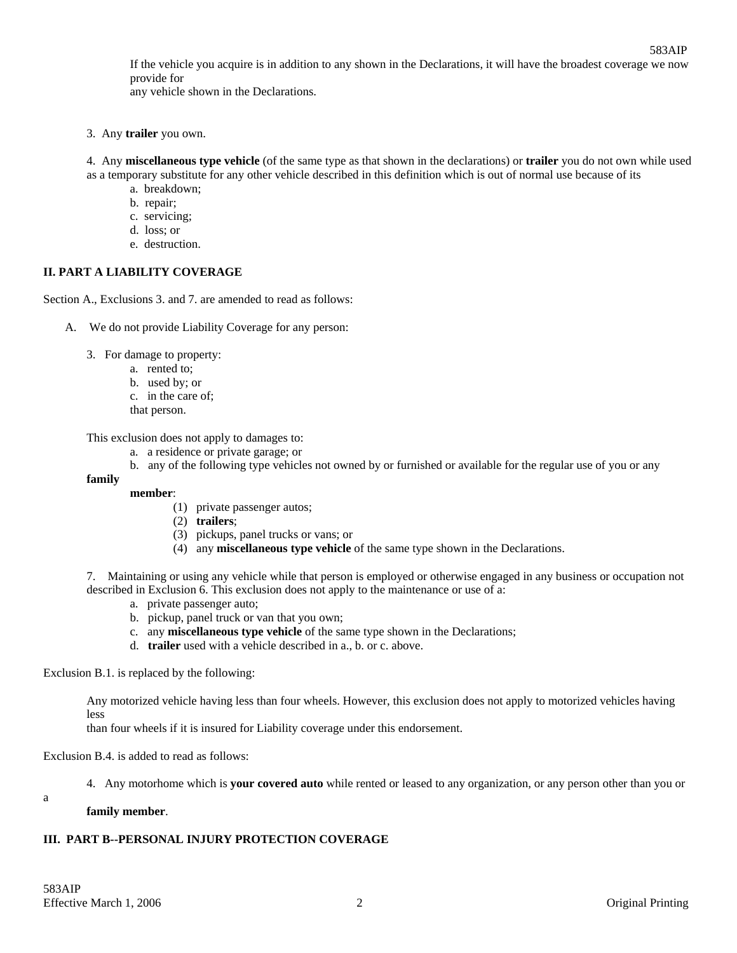If the vehicle you acquire is in addition to any shown in the Declarations, it will have the broadest coverage we now provide for

any vehicle shown in the Declarations.

- 3. Any **trailer** you own.
- 4. Any **miscellaneous type vehicle** (of the same type as that shown in the declarations) or **trailer** you do not own while used as a temporary substitute for any other vehicle described in this definition which is out of normal use because of its
	- a. breakdown;
	- b. repair;
	- c. servicing;
	- d. loss; or
	- e. destruction.

## **II. PART A LIABILITY COVERAGE**

Section A., Exclusions 3. and 7. are amended to read as follows:

- A. We do not provide Liability Coverage for any person:
	- 3. For damage to property:
		- a. rented to;
		- b. used by; or
		- c. in the care of;
		- that person.

This exclusion does not apply to damages to:

- a. a residence or private garage; or
- b. any of the following type vehicles not owned by or furnished or available for the regular use of you or any

### **family**

- **member**:
	- (1) private passenger autos;
	- (2) **trailers**;
	- (3) pickups, panel trucks or vans; or
	- (4) any **miscellaneous type vehicle** of the same type shown in the Declarations.

7. Maintaining or using any vehicle while that person is employed or otherwise engaged in any business or occupation not described in Exclusion 6. This exclusion does not apply to the maintenance or use of a:

- a. private passenger auto;
- b. pickup, panel truck or van that you own;
- c. any **miscellaneous type vehicle** of the same type shown in the Declarations;
- d. **trailer** used with a vehicle described in a., b. or c. above.

Exclusion B.1. is replaced by the following:

Any motorized vehicle having less than four wheels. However, this exclusion does not apply to motorized vehicles having less

than four wheels if it is insured for Liability coverage under this endorsement.

Exclusion B.4. is added to read as follows:

4. Any motorhome which is **your covered auto** while rented or leased to any organization, or any person other than you or

a

#### **family member**.

## **III. PART B--PERSONAL INJURY PROTECTION COVERAGE**